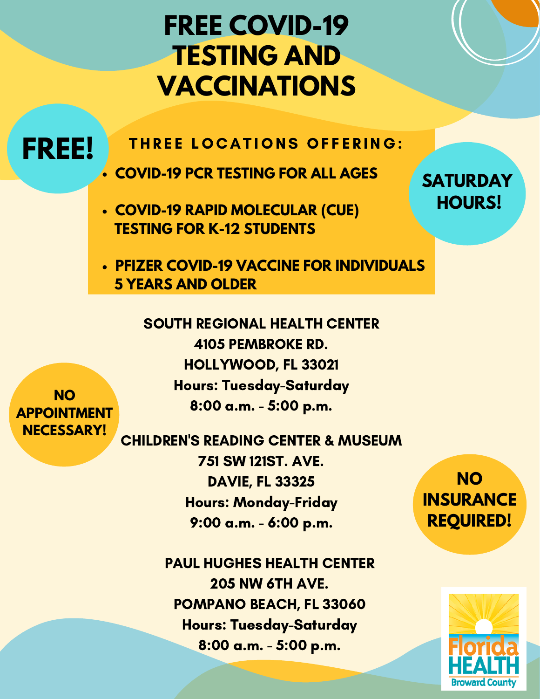## **FREE COVID-19 TESTING AND VACCINATIONS**

**FREE!**

THREE LOCATIONS OFFERING:

**COVID-19 PCR TESTING FOR ALL AGES**

**COVID-19 RAPID MOLECULAR (CUE) TESTING FOR K-12 STUDENTS**

**PFIZER COVID-19 VACCINE FOR INDIVIDUALS 5 YEARS AND OLDER**

> SOUTH REGIONAL HEALTH CENTER 4105 PEMBROKE RD. HOLLYWOOD, FL 33021 Hours: Tuesday-Saturday 8:00 a.m. - 5:00 p.m.

**NO APPOINTMENT NECESSARY!**

CHILDREN'S READING CENTER & MUSEUM 751 SW 121ST. AVE. DAVIE, FL 33325 Hours: Monday-Friday 9:00 a.m. - 6:00 p.m.

> PAUL HUGHES HEALTH CENTER 205 NW 6TH AVE. POMPANO BEACH, FL 33060 Hours: Tuesday-Saturday 8:00 a.m. - 5:00 p.m.

**NO INSURANCE REQUIRED!**

**SATURDAY**

**HOURS!**